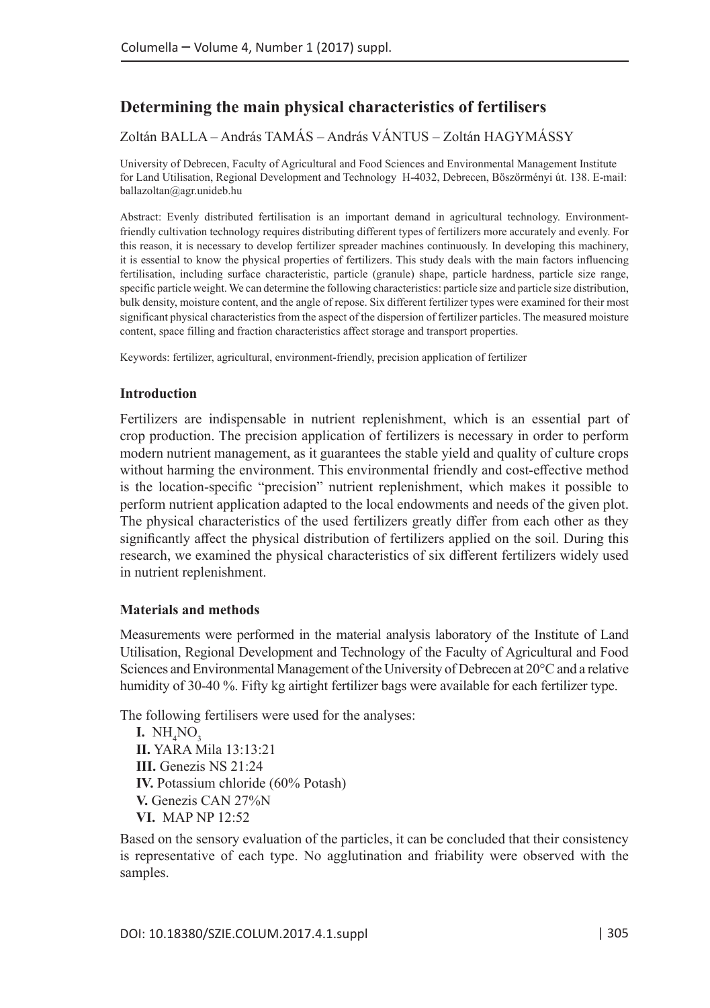# **Determining the main physical characteristics of fertilisers**

# Zoltán BALLA – András TAMÁS – András VÁNTUS – Zoltán HAGYMÁSSY

University of Debrecen, Faculty of Agricultural and Food Sciences and Environmental Management Institute for Land Utilisation, Regional Development and Technology H-4032, Debrecen, Böszörményi út. 138. E-mail: ballazoltan@agr.unideb.hu

Abstract: Evenly distributed fertilisation is an important demand in agricultural technology. Environmentfriendly cultivation technology requires distributing different types of fertilizers more accurately and evenly. For this reason, it is necessary to develop fertilizer spreader machines continuously. In developing this machinery, it is essential to know the physical properties of fertilizers. This study deals with the main factors influencing fertilisation, including surface characteristic, particle (granule) shape, particle hardness, particle size range, specific particle weight. We can determine the following characteristics: particle size and particle size distribution, bulk density, moisture content, and the angle of repose. Six different fertilizer types were examined for their most significant physical characteristics from the aspect of the dispersion of fertilizer particles. The measured moisture content, space filling and fraction characteristics affect storage and transport properties.

Keywords: fertilizer, agricultural, environment-friendly, precision application of fertilizer

#### **Introduction**

Fertilizers are indispensable in nutrient replenishment, which is an essential part of crop production. The precision application of fertilizers is necessary in order to perform modern nutrient management, as it guarantees the stable yield and quality of culture crops without harming the environment. This environmental friendly and cost-effective method is the location-specific "precision" nutrient replenishment, which makes it possible to perform nutrient application adapted to the local endowments and needs of the given plot. The physical characteristics of the used fertilizers greatly differ from each other as they significantly affect the physical distribution of fertilizers applied on the soil. During this research, we examined the physical characteristics of six different fertilizers widely used in nutrient replenishment.

#### **Materials and methods**

Measurements were performed in the material analysis laboratory of the Institute of Land Utilisation, Regional Development and Technology of the Faculty of Agricultural and Food Sciences and Environmental Management of the University of Debrecen at 20°C and a relative humidity of 30-40 %. Fifty kg airtight fertilizer bags were available for each fertilizer type.

The following fertilisers were used for the analyses:

**I.**  $NH<sub>4</sub>NO<sub>3</sub>$ **II.** YARA Mila 13:13:21 **III.** Genezis NS 21:24 **IV.** Potassium chloride (60% Potash) **V.** Genezis CAN 27%N **VI.** MAP NP 12:52

Based on the sensory evaluation of the particles, it can be concluded that their consistency is representative of each type. No agglutination and friability were observed with the samples.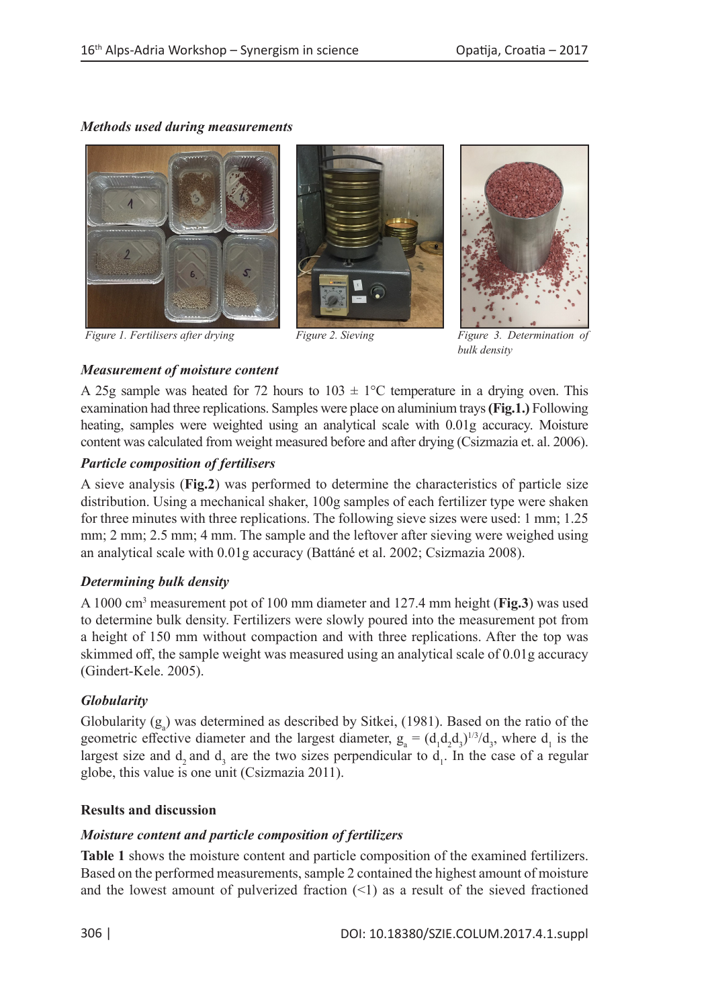# *Methods used during measurements*



*Figure 1. Fertilisers after drying Figure 2. Sieving Figure 3. Determination* 





*bulk density*

# *Measurement of moisture content*

A 25g sample was heated for 72 hours to  $103 \pm 1^{\circ}$ C temperature in a drying oven. This examination had three replications. Samples were place on aluminium trays **(Fig.1.)** Following heating, samples were weighted using an analytical scale with 0.01g accuracy. Moisture content was calculated from weight measured before and after drying (Csizmazia et. al. 2006).

## *Particle composition of fertilisers*

A sieve analysis (**Fig.2**) was performed to determine the characteristics of particle size distribution. Using a mechanical shaker, 100g samples of each fertilizer type were shaken for three minutes with three replications. The following sieve sizes were used: 1 mm; 1.25 mm; 2 mm; 2.5 mm; 4 mm. The sample and the leftover after sieving were weighed using an analytical scale with 0.01g accuracy (Battáné et al. 2002; Csizmazia 2008).

## *Determining bulk density*

A 1000 cm3 measurement pot of 100 mm diameter and 127.4 mm height (**Fig.3**) was used to determine bulk density. Fertilizers were slowly poured into the measurement pot from a height of 150 mm without compaction and with three replications. After the top was skimmed off, the sample weight was measured using an analytical scale of 0.01g accuracy (Gindert-Kele. 2005).

## *Globularity*

Globularity  $(g_a)$  was determined as described by Sitkei, (1981). Based on the ratio of the geometric effective diameter and the largest diameter,  $g_a = (d_1 d_2 d_3)^{1/3} / d_3$ , where  $d_1$  is the largest size and  $d_2$  and  $d_3$  are the two sizes perpendicular to  $d_1$ . In the case of a regular globe, this value is one unit (Csizmazia 2011).

## **Results and discussion**

## *Moisture content and particle composition of fertilizers*

**Table 1** shows the moisture content and particle composition of the examined fertilizers. Based on the performed measurements, sample 2 contained the highest amount of moisture and the lowest amount of pulverized fraction  $(\leq 1)$  as a result of the sieved fractioned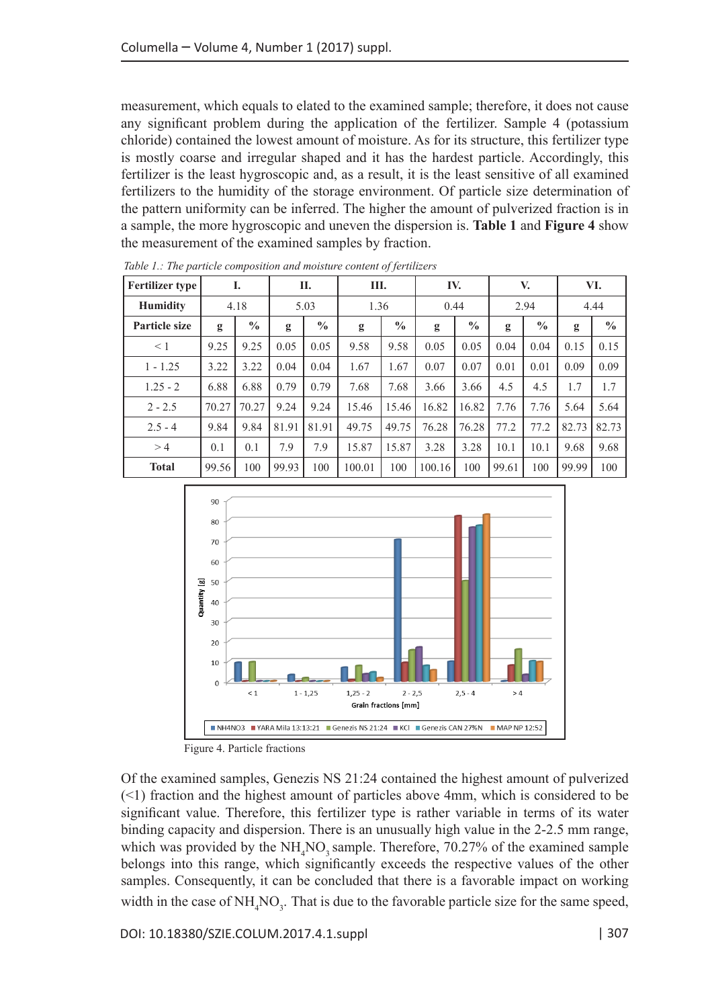measurement, which equals to elated to the examined sample; therefore, it does not cause any significant problem during the application of the fertilizer. Sample 4 (potassium chloride) contained the lowest amount of moisture. As for its structure, this fertilizer type is mostly coarse and irregular shaped and it has the hardest particle. Accordingly, this fertilizer is the least hygroscopic and, as a result, it is the least sensitive of all examined fertilizers to the humidity of the storage environment. Of particle size determination of the pattern uniformity can be inferred. The higher the amount of pulverized fraction is in a sample, the more hygroscopic and uneven the dispersion is. **Table 1** and **Figure 4** show the measurement of the examined samples by fraction.

| <b>Fertilizer type</b> | I.    |               | П.    |               | Ш.     |               | IV.    |               | V.    |               | VI.   |               |
|------------------------|-------|---------------|-------|---------------|--------|---------------|--------|---------------|-------|---------------|-------|---------------|
| <b>Humidity</b>        | 4.18  |               | 5.03  |               | 1.36   |               | 0.44   |               | 2.94  |               | 4.44  |               |
| Particle size          | g     | $\frac{0}{0}$ | g     | $\frac{0}{0}$ | g      | $\frac{0}{0}$ | g      | $\frac{0}{0}$ | g     | $\frac{0}{0}$ | g     | $\frac{0}{0}$ |
| $\leq 1$               | 9.25  | 9.25          | 0.05  | 0.05          | 9.58   | 9.58          | 0.05   | 0.05          | 0.04  | 0.04          | 0.15  | 0.15          |
| $1 - 1.25$             | 3.22  | 3.22          | 0.04  | 0.04          | 1.67   | 1.67          | 0.07   | 0.07          | 0.01  | 0.01          | 0.09  | 0.09          |
| $1.25 - 2$             | 6.88  | 6.88          | 0.79  | 0.79          | 7.68   | 7.68          | 3.66   | 3.66          | 4.5   | 4.5           | 1.7   | 1.7           |
| $2 - 2.5$              | 70.27 | 70.27         | 9.24  | 9.24          | 15.46  | 15.46         | 16.82  | 16.82         | 7.76  | 7.76          | 5.64  | 5.64          |
| $2.5 - 4$              | 9.84  | 9.84          | 81.91 | 81.91         | 49.75  | 49.75         | 76.28  | 76.28         | 77.2  | 77.2          | 82.73 | 82.73         |
| >4                     | 0.1   | 0.1           | 7.9   | 7.9           | 15.87  | 15.87         | 3.28   | 3.28          | 10.1  | 10.1          | 9.68  | 9.68          |
| <b>Total</b>           | 99.56 | 100           | 99.93 | 100           | 100.01 | 100           | 100.16 | 100           | 99.61 | 100           | 99.99 | 100           |

 *Table 1.: The particle composition and moisture content of fertilizers*



Figure 4. Particle fractions

Of the examined samples, Genezis NS 21:24 contained the highest amount of pulverized (<1) fraction and the highest amount of particles above 4mm, which is considered to be significant value. Therefore, this fertilizer type is rather variable in terms of its water binding capacity and dispersion. There is an unusually high value in the 2-2.5 mm range, which was provided by the  $NH_4NO_3$  sample. Therefore, 70.27% of the examined sample belongs into this range, which significantly exceeds the respective values of the other samples. Consequently, it can be concluded that there is a favorable impact on working width in the case of  $NH_4NO_3$ . That is due to the favorable particle size for the same speed,

DOI: 10.18380/SZIE.COLUM.2017.4.1.suppl | 307